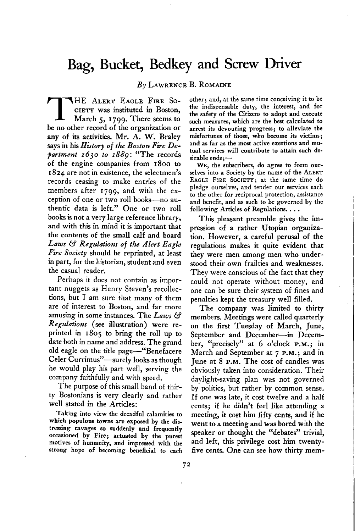## **Bag, Bucket, Bedkey and Screw Driver**

**By LAWRENCE B. ROMAINE** 

**THE ALERT EAGLE FIRE SO-<br>CIETY was instituted in Boston,<br>March 5, 1799. There seems to CIETY was instituted in Boston, March 5, 1799. There seems to be no other record of the organization or any of its activities. Mr. A. W. Braley says in his History of the Boston Fire Department I 630 to 1889 : "The records of the engine companies from 1800 to I 824 are not in existence, the selectmen's records ceasing to make entries of the members after 1799, and with the exception of one or two roll books-no authentic data is left." One or two roll books is not a very large reference library, and with this in mind it is important that the contents of the small calf and board Laws ti Regulations of the Alert Eagle Fire Society should be reprinted, at least in part, for the historian, student and even the casual reader.** 

**Perhaps it does not contain as important nuggets as Henry Steven's recollections, but I am sure that many of them are of interest to Boston, and far more amusing in some instances. The Laws &? Regulations (see illustration) were reprinted in 1805 to bring the roll up to date both in name and address. The grand old eagle on the title page-"Benefacere Celer Currimus"-surely looks as though he would play his part well, serving the company faithfully and with speed,** 

**The purpose of this small band of thirty Bostonians is very clearly and rather well stated in the Articles:** 

**Taking into view tbe dreadful calamities to which populous towns are exposed by the distressing ravages so suddenly and frequently occasioned by Fire; actuated by the purest motives of humanity, and impressed with the strong hope of becoming beneficial to each** 

**other j and, at the same time conceiving it to be the indispensable duty, the interest, and for the safety of the Citizens to adopt and execute such measures, which are the best calculated to arrest its devouring progress; to alleviate the misfortunes of those, who become its victims; and as far as the most active exertions and mutual services will contribute to attain such de**sirable ends:-

**WE, the subscribers, do agree to form ourselves into a Society by the name of the ALERT EAGLE FIRE SOCIETYj at the same time do pledge ourselves, and tender our services each to the other for reciprocal protection, assistance and benefit, and as such to be governed by the following Articles of Regulations. . . .** 

**This pleasant preamble gives the impression of a rather Utopian organization. However, a careful perusal of the regulations makes it quite evident that they were men among men who understood their own frailties and weaknesses. They were conscious of the fact that they could not operate without money, and one can be sure their system of fines and penalties kept the treasury well filled.** 

**The company was limited to thirty members. Meetings were called quarterly on the first Tuesday of March, June,**  September and December-in Decem**ber, "precisely" at 6 o'clock P.M.; in March and September at 7 P.M.; and in June at 8 P.M. The cost of candles was obviously taken into consideration. Their daylight-saving plan was not governed by politics, but rather by common sense. If one was late, it cost twelve and a half cents; if he didn't feel like attending a meeting, it cost him fifty cents, and if he went to a meeting and was bored with the speaker or thought the "debates" trivial, and left, this privilege cost him twentyfive cents. One can see how thirty mem-**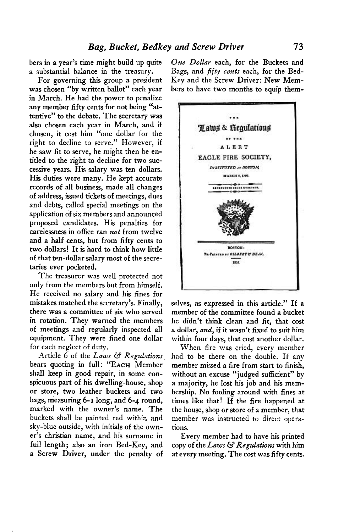**bers in a year's time might build up quite a substantial balance in the treasury.** 

**For governing this group a president was chosen "by written ballot" each year in March. He had the power to penalize any member fifty cents for not being "attentive" to the debate. The secretary was also chosen each year in March, and if chosen, it cost him "one dollar for the right to decline to serve." However, if he saw fit to serve, he might then be entitled to the right to decline for two successive years. His salary was ten dollars. His duties were many. He kept accurate records of all business, made all changes of address, issued tickets of meetings, dues and debts, called special meetings on the application of six members and announced proposed candidates. His penalties for carelessness in office ran not from twelve and a half cents, but from fifty cents to two dollars! It is hard to think how little of that ten-dollar salary most of the secretaries ever pocketed.** 

**The treasurer was well protected not only from the members but from himself. He received no salary and his fines for mistakes matched the secretary's. Finally, there was a committee of six who served in rotation. They warned the members of meetings and regularly inspected all equipment. They were fined one dollar for each neglect of duty.** 

**Article 6 of the Laws 63 Regulations ~ bears quoting in full: "EACH Member shall keep in good repair, in some conspicuous part of his dwelling-house, shop or store, two leather buckets and two bags, measuring 6-1 long, and 6-4 round, marked with the owner's name. The buckets shall be painted red within and sky-blue outside, with initials of the owner's Christian name, and his surname in full length; also an iron Bed-Key, and a Screw Driver, under the penalty of** 

**One Dollar each, for the Buckets and Bags, and fifty cents each, for the Bed-Key and the Screw Driver: New Members to have two months to equip them-**



**selves, as expressed in this article." If a member of the committee found a bucket he didn't think clean and fit, that cost a dollar, and, if it wasn't fixed to suit him within four days, that cost another dollar.** 

**When fire was cried, every member had to be there on the double. If any member missed a fire from start to finish, without an excuse "judged sufficient" by a majority, he lost his job and his membership. No fooling around with fines at times like that! If the fire happened at the house, shop or store of a member, that member was instructed to direct operations.** 

**Every member had to have his printed copy of the Laws M Regulations with him at every meeting. The cost was fifty cents.**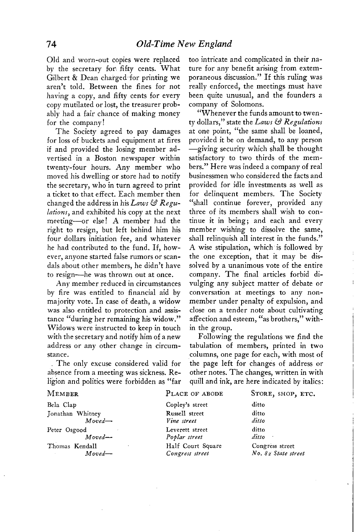**Old and worn-out copies were replaced**  by the secretary for fifty cents. What Gilbert & Dean charged for printing we **aren't told. Between the fines for not having a copy, and fifty cents for every copy mutilated or lost, the treasurer probably had a fair chance of making money for the company!** 

**The Society agreed to pay damages for loss of buckets and equipment at fires if and provided the losing member advertised in a Boston newspaper within twenty-four hours. Any member who moved his dwelling or store had to notify the secretary, who in turn agreed to print a ticket to that effect. Each member then changed the address in his Laws & Regulations, and exhibited his copy at the next meeting-or else! A member had the right to resign, but left behind him his four dollars initiation fee, and whatever he had contributed to the fund. If, however, anyone started false rumors or scandals about other members, he didn't have to resign-he was thrown out at once.** 

**Any member reduced in circumstances by fire was entitled to financial aid by majority vote. In case of death, a widow was also entitled to protection and assistance "during her remaining his widow." Widows were instructed to keep in touch with the secretary and notify him of a new address or any other change in circumstance.** 

**The only excuse considered valid for absence from a meeting was sickness. Religion and politics were forbidden as "far**  **too intricate and complicated in their nature for any benefit arising from extemporaneous discussion." If this ruling was really enforced, the meetings must have been quite unusual, and the founders a company of Solomons.** 

**"Whenever the funds amount to twen**ty dollars," state the *Laws* & Regulations **at one point, "the same shall be loaned, provided it be on demand, to any person -giving security which shall be thought satisfactory to two thirds of the members." Here was indeed a company of real businessmen who considered the facts and provided for idle investments as well as for delinquent members. The Society "shall continue forever, provided any three of its members shall wish to continue it in being; and each and every member wishing to dissolve the same, shall relinquish all interest in the funds." A wise stipulation, which is followed by the one exception, that it may be dissolved by a unanimous vote of the entire company. The final articles forbid divulging any subject matter of debate or conversation at meetings to any nonmember under penalty of expulsion, and close on a tender note about cultivating affection and esteem, "as brothers," within the group.** 

**Following the regulations we find the tabulation of members, printed in two columns, one page for each, with most of the page left for changes of address or other notes. The changes, written in with quill and ink, are here indicated by italics:** 

| PLACE OF ABODE    | STORE, SHOP, ETC.   |
|-------------------|---------------------|
| Copley's street   | ditto               |
| Russell street    | ditto               |
|                   | ditto               |
| Leverett street   | ditto               |
| Poplar street     | dit to              |
| Half Court Square | Congress street     |
| Congress street   | No. 82 State street |
|                   | Vine street         |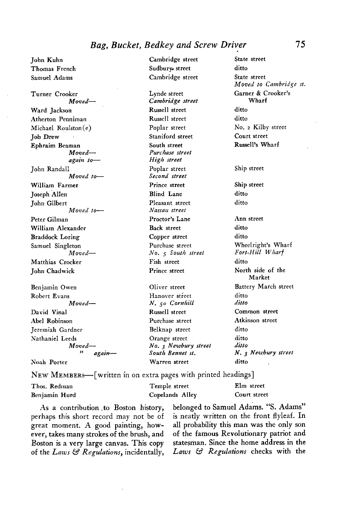## **Bag, Bucket, Bedkey and Screw Driver**

**Cambridge street Sudbury. street Cambridge street State street John Kuhn Thomas French Samuel Adams Turner Crooker Moved-Ward Jackson Atherton Penniman**   $Michael$  Roulston(e) **Job Drew Ephraim Beaman Movedagain to-John Randall Moved to-William Farmer Joseph Allen John Gilbert**  Moved to-**Peter Gilman William Alexander Braddock Loring Samuel Singleton Moved-Matthias Cracker John Chadwick Benjamin Owen Robert Evans Moved-David Vinal Abel Robinson Jeremiah Gardner Nathaniel Leeds Moved- >> again- ,Voah Porter Lynde street Cambridge street Russell street Russell street Poplar street Staniford street South street Purchase street High street Poplar street Second street Prince street Blind Lane Pleasant street Nassau street Proctor's Lane Back street Copper street Purchase street No. 5 South street Fish street Prince street Oliver street Hanover street N.** 50 Cornhill **Russell street Purchase street Belknap street Orange street No. 3 Neavbury street South Bennet st. Warren street ditto State street Moved to Cambridge st. Garner & Crooker's Wharf ditto ditto No. z Kilby street Court street Russell's Wharf Ship street Ship street ditto ditto Ann street ditto ditto Wheelright's Wharf Fort-Hill Wharf ditto North side of the Market Battery March street ditto ditto Common street Atkinson street ditto ditto ditto N.** 3 Newbury street **ditto** 

**NEW MEMBERS-[written in on extra pages with printed headings]** 

| Thos. Redman  | Temple street   | Elm street   |
|---------------|-----------------|--------------|
| Benjamin Hurd | Copelands Alley | Court street |

**perhaps this short record may not be of is neatly written on the front flyleaf. In great moment. A good painting, how- all probability this man was the only son ever, takes many strokes of the brush, and of the famous Revolutionary patriot and Boston is a very large canvas. This copy statesman. Since the home address in the of the Laws Ej, Regulations, incidentally, Laws W Regulations checks with the** 

**As a contribution .to Boston history, belonged to Samuel Adams. "S. Adams"**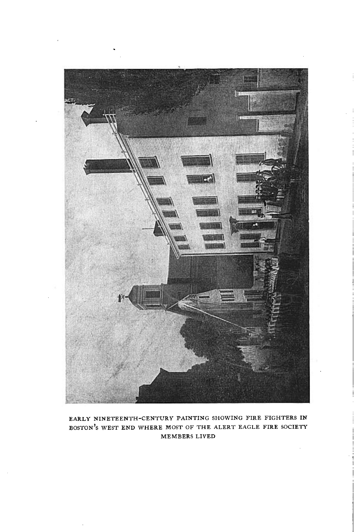

**EARLY NINETEENTH-CENTURY PAINTING SHOWING FIRE FIGHTERS IN BOSTON'S WEST END WHERE MOST OF THE ALERT EAGLE FIRE SOCIETY MEMBERS LIVED**